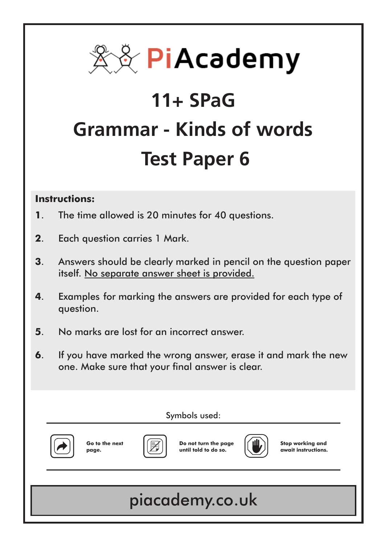

# **11+ SPaG Grammar - Kinds of words Test Paper 6**

#### **Instructions:**

- **1**. The time allowed is 20 minutes for 40 questions.
- **2**. Each question carries 1 Mark.
- **3**. Answers should be clearly marked in pencil on the question paper itself. No separate answer sheet is provided.
- **4**. Examples for marking the answers are provided for each type of question.
- **5**. No marks are lost for an incorrect answer.
- **6**. If you have marked the wrong answer, erase it and mark the new one. Make sure that your final answer is clear.

Symbols used:



**Go to the next page.**



**Do not turn the page until told to do so.**



**Stop working and await instructions.**

# piacademy.co.uk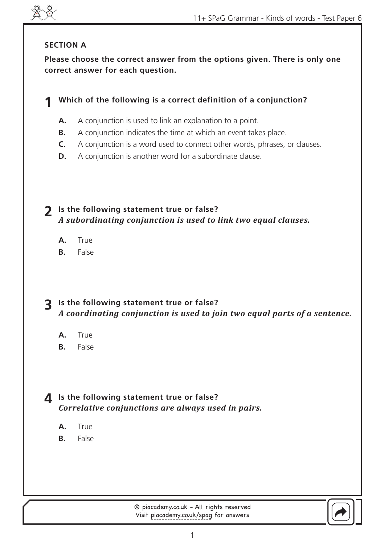

#### **SECTION A**

**Please choose the correct answer from the options given. There is only one correct answer for each question.**

#### **Which of the following is a correct definition of a conjunction? 1**

- A conjunction is used to link an explanation to a point. **A.**
- A conjunction indicates the time at which an event takes place. **B.**
- A conjunction is a word used to connect other words, phrases, or clauses. **C.**
- A conjunction is another word for a subordinate clause. **D.**

**Is the following statement true or false? 2** *A subordinating conjunction is used to link two equal clauses.*

- **True A.**
- False **B.**

#### **Is the following statement true or false? 3** *A coordinating conjunction is used to join two equal parts of a sentence.*

- True **A.**
- False **B.**

#### **Is the following statement true or false? 4** *Correlative conjunctions are always used in pairs.*

- True **A.**
- False **B.**

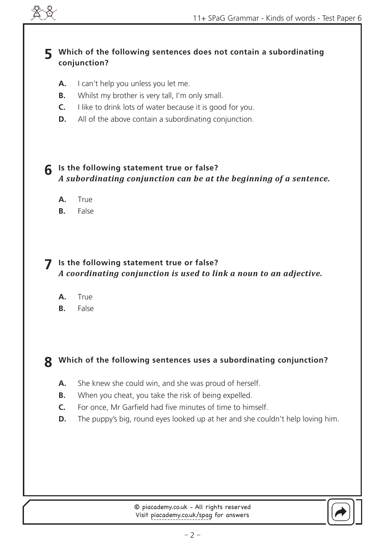

#### **Which of the following sentences does not contain a subordinating 5 conjunction?**

- I can't help you unless you let me. **A.**
- Whilst my brother is very tall, I'm only small. **B.**
- I like to drink lots of water because it is good for you. **C.**
- All of the above contain a subordinating conjunction. **D.**

#### **Is the following statement true or false? 6** *A subordinating conjunction can be at the beginning of a sentence.*

- True **A.**
- False **B.**

#### **Is the following statement true or false?** *A coordinating conjunction is used to link a noun to an adjective.* **7**

- True **A.**
- False **B.**

#### **Which of the following sentences uses a subordinating conjunction? 8**

- She knew she could win, and she was proud of herself. **A.**
- When you cheat, you take the risk of being expelled. **B.**
- For once, Mr Garfield had five minutes of time to himself. **C.**
- The puppy's big, round eyes looked up at her and she couldn't help loving him. **D.**

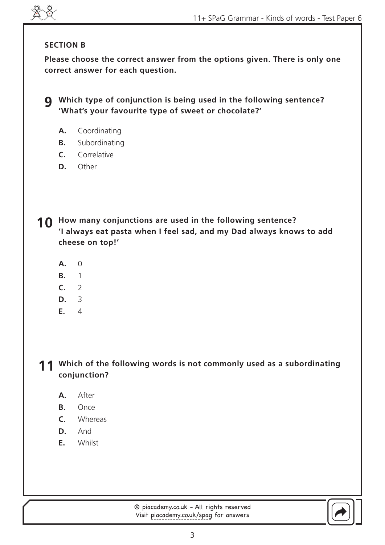#### **SECTION B**

**Please choose the correct answer from the options given. There is only one correct answer for each question.**

**Which type of conjunction is being used in the following sentence? 9 'What's your favourite type of sweet or chocolate?'**

- Coordinating **A.**
- Subordinating **B.**
- Correlative **C.**
- Other **D.**

**How many conjunctions are used in the following sentence? 10 'I always eat pasta when I feel sad, and my Dad always knows to add cheese on top!'**

- $\Omega$ **A.**
- 1 **B.**
- $\overline{2}$ **C.**
- 3 **D.**
- $\Delta$ **E.**

11 Which of the following words is not commonly used as a subordinating **conjunction?**

- After **A.**
- Once **B.**
- Whereas **C.**
- **D.** And
- **Whilst E.**

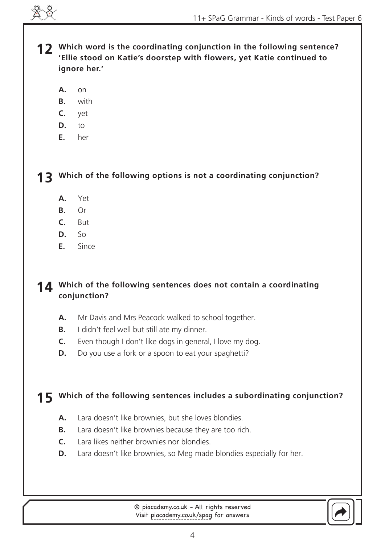**Which word is the coordinating conjunction in the following sentence? 12 'Ellie stood on Katie's doorstep with flowers, yet Katie continued to ignore her.'**

- on **A.**
- with **B.**
- yet **C.**
- to **D.**
- her **E.**

**Which of the following options is not a coordinating conjunction? 13**

- Yet **A.**
- Or **B.**
- But **C.**
- $S_{\Omega}$ **D.**
- Since **E.**

#### **Which of the following sentences does not contain a coordinating 14 conjunction?**

- Mr Davis and Mrs Peacock walked to school together. **A.**
- I didn't feel well but still ate my dinner. **B.**
- Even though I don't like dogs in general, I love my dog. **C.**
- Do you use a fork or a spoon to eat your spaghetti? **D.**

### **Which of the following sentences includes a subordinating conjunction? 15**

- Lara doesn't like brownies, but she loves blondies. **A.**
- Lara doesn't like brownies because they are too rich. **B.**
- Lara likes neither brownies nor blondies. **C.**
- Lara doesn't like brownies, so Meg made blondies especially for her. **D.**

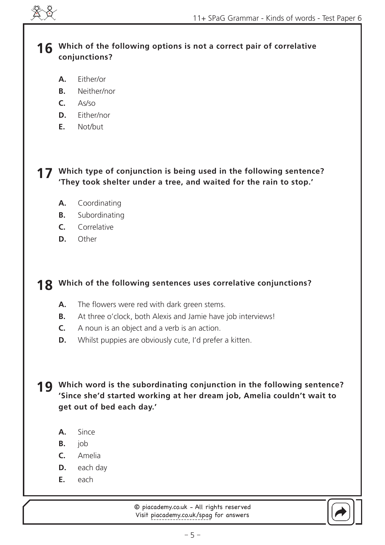

**Which of the following options is not a correct pair of correlative 16 conjunctions?**

- Either/or **A.**
- Neither/nor **B.**
- As/so **C.**
- Either/nor **D.**
- Not/but **E.**

#### **Which type of conjunction is being used in the following sentence? 17 'They took shelter under a tree, and waited for the rain to stop.'**

- Coordinating **A.**
- Subordinating **B.**
- Correlative **C.**
- Other **D.**

#### **Which of the following sentences uses correlative conjunctions? 18**

- The flowers were red with dark green stems. **A.**
- At three o'clock, both Alexis and Jamie have job interviews! **B.**
- A noun is an object and a verb is an action. **C.**
- Whilst puppies are obviously cute, I'd prefer a kitten. **D.**

**Which word is the subordinating conjunction in the following sentence? 19 'Since she'd started working at her dream job, Amelia couldn't wait to get out of bed each day.'**

- Since **A.**
- job **B.**
- Amelia **C.**
- each day **D.**
- each **E.**

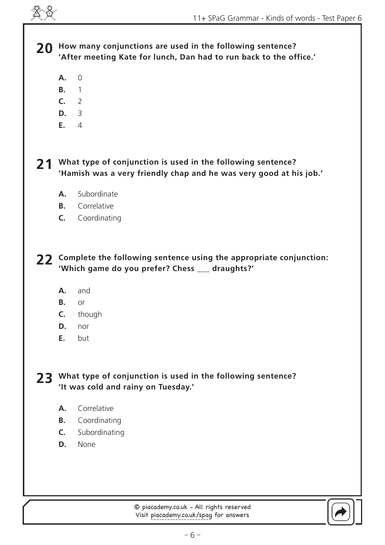**How many conjunctions are used in the following sentence? 20 'After meeting Kate for lunch, Dan had to run back to the office.'** 

- 0 **A.**
- 1 **B.**
- 2 **C.**
- 3 **D.**
- 4 **E.**

**What type of conjunction is used in the following sentence? 21 'Hamish was a very friendly chap and he was very good at his job.'**

- Subordinate **A.**
- Correlative **B.**
- Coordinating **C.**

**Complete the following sentence using the appropriate conjunction: 22 'Which game do you prefer? Chess \_\_\_ draughts?'**

- and **A.**
- or **B.**
- though **C.**
- nor **D.**
- but **E.**

**What type of conjunction is used in the following sentence? 23 'It was cold and rainy on Tuesday.'**

- Correlative **A.**
- Coordinating **B.**
- Subordinating **C.**
- None **D.**

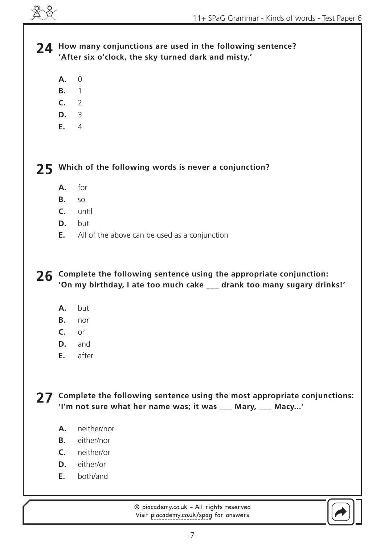24 How many conjunctions are used in the following sentence? **'After six o'clock, the sky turned dark and misty.'**

- $\Omega$ **A.**
- 1 **B.**
- 2 **C.**
- 3 **D.**
- 4 **E.**

**Which of the following words is never a conjunction? 25**

- for **A.**
- so **B.**
- until **C.**
- but **D.**
- All of the above can be used as a conjunction **E.**

**Complete the following sentence using the appropriate conjunction: 26 'On my birthday, I ate too much cake \_\_\_ drank too many sugary drinks!'**

- but **A.**
- nor **B.**
- or **C.**
- and **D.**
- after **E.**

**Complete the following sentence using the most appropriate conjunctions: 27 'I'm not sure what her name was; it was \_\_\_ Mary, \_\_\_ Macy...'**

- neither/nor **A.**
- either/nor **B.**
- neither/or **C.**
- **D.** either/or
- both/and **E.**

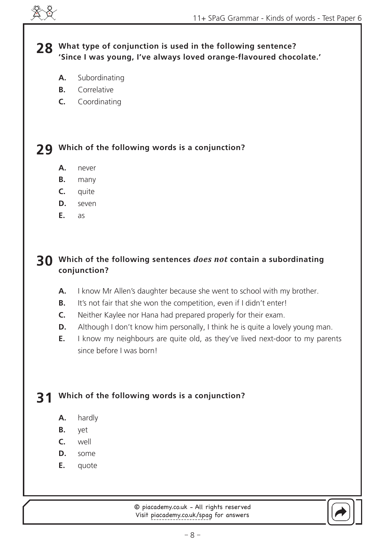#### **What type of conjunction is used in the following sentence? 28 'Since I was young, I've always loved orange-flavoured chocolate.'**

- Subordinating **A.**
- Correlative **B.**
- Coordinating **C.**

# **Which of the following words is a conjunction? 29**

- never **A.**
- many **B.**
- quite **C.**
- seven **D.**
- as **E.**

#### **Which of the following sentences** *does not* **contain a subordinating 30 conjunction?**

- I know Mr Allen's daughter because she went to school with my brother. **A.**
- It's not fair that she won the competition, even if I didn't enter! **B.**
- Neither Kaylee nor Hana had prepared properly for their exam. **C.**
- Although I don't know him personally, I think he is quite a lovely young man. **D.**
- I know my neighbours are quite old, as they've lived next-door to my parents since before I was born! **E.**

#### **Which of the following words is a conjunction? 31**

- hardly **A.**
- yet **B.**
- well **C.**
- some **D.**
- quote **E.**

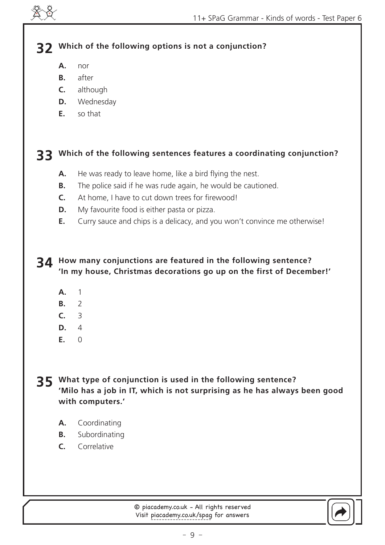# **Which of the following options is not a conjunction? 32**

- nor **A.**
- after **B.**
- although **C.**
- Wednesday **D.**
- so that **E.**

# **Which of the following sentences features a coordinating conjunction? 33**

- He was ready to leave home, like a bird flying the nest. **A.**
- The police said if he was rude again, he would be cautioned. **B.**
- At home, I have to cut down trees for firewood! **C.**
- My favourite food is either pasta or pizza. **D.**
- Curry sauce and chips is a delicacy, and you won't convince me otherwise! **E.**

#### **How many conjunctions are featured in the following sentence? 34 'In my house, Christmas decorations go up on the first of December!'**

- 1 **A.**
- $\overline{2}$ **B.**
- 3 **C.**
- 4 **D.**
- $\Omega$ **E.**

**What type of conjunction is used in the following sentence? 35 'Milo has a job in IT, which is not surprising as he has always been good with computers.'**

- Coordinating **A.**
- Subordinating **B.**
- Correlative **C.**

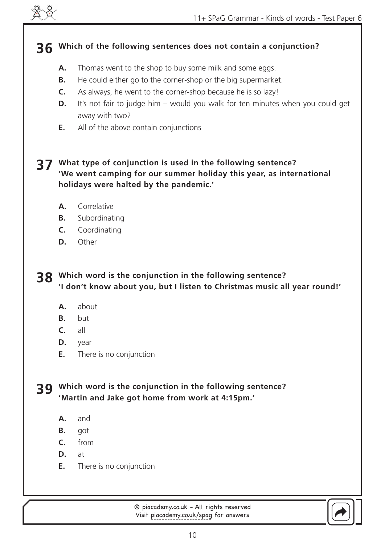

# **Which of the following sentences does not contain a conjunction? 36**

- Thomas went to the shop to buy some milk and some eggs. **A.**
- He could either go to the corner-shop or the big supermarket. **B.**
- As always, he went to the corner-shop because he is so lazy! **C.**
- It's not fair to judge him would you walk for ten minutes when you could get away with two? **D.**
- All of the above contain conjunctions **E.**

#### **What type of conjunction is used in the following sentence? 37 'We went camping for our summer holiday this year, as international holidays were halted by the pandemic.'**

- Correlative **A.**
- Subordinating **B.**
- Coordinating **C.**
- **Other D.**

**Which word is the conjunction in the following sentence? 38 'I don't know about you, but I listen to Christmas music all year round!'**

- about **A.**
- but **B.**
- all **C.**
- year **D.**
- There is no conjunction **E.**

**Which word is the conjunction in the following sentence? 39 'Martin and Jake got home from work at 4:15pm.'**

- and **A.**
- got **B.**
- from **C.**
- at **D.**
- There is no conjunction **E.**